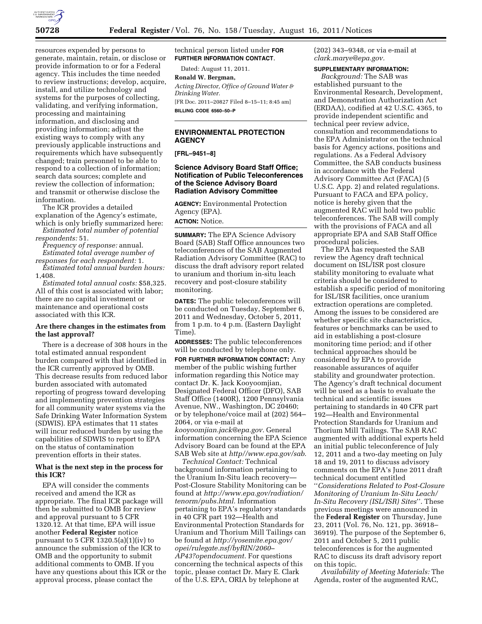

resources expended by persons to generate, maintain, retain, or disclose or provide information to or for a Federal agency. This includes the time needed to review instructions; develop, acquire, install, and utilize technology and systems for the purposes of collecting, validating, and verifying information, processing and maintaining information, and disclosing and providing information; adjust the existing ways to comply with any previously applicable instructions and requirements which have subsequently changed; train personnel to be able to respond to a collection of information; search data sources; complete and review the collection of information; and transmit or otherwise disclose the information.

The ICR provides a detailed explanation of the Agency's estimate, which is only briefly summarized here:

*Estimated total number of potential respondents:* 51.

*Frequency of response:* annual. *Estimated total average number of responses for each respondent:* 1.

*Estimated total annual burden hours:*  1,408.

*Estimated total annual costs:* \$58,325. All of this cost is associated with labor; there are no capital investment or maintenance and operational costs associated with this ICR.

## **Are there changes in the estimates from the last approval?**

There is a decrease of 308 hours in the total estimated annual respondent burden compared with that identified in the ICR currently approved by OMB. This decrease results from reduced labor burden associated with automated reporting of progress toward developing and implementing prevention strategies for all community water systems via the Safe Drinking Water Information System (SDWIS). EPA estimates that 11 states will incur reduced burden by using the capabilities of SDWIS to report to EPA on the status of contamination prevention efforts in their states.

# **What is the next step in the process for this ICR?**

EPA will consider the comments received and amend the ICR as appropriate. The final ICR package will then be submitted to OMB for review and approval pursuant to 5 CFR 1320.12. At that time, EPA will issue another **Federal Register** notice pursuant to  $5$  CFR 1320.5(a)(1)(iv) to announce the submission of the ICR to OMB and the opportunity to submit additional comments to OMB. If you have any questions about this ICR or the approval process, please contact the

technical person listed under **FOR FURTHER INFORMATION CONTACT**.

Dated: August 11, 2011.

#### **Ronald W. Bergman,**

*Acting Director, Office of Ground Water & Drinking Water.*  [FR Doc. 2011–20827 Filed 8–15–11; 8:45 am]

**BILLING CODE 6560–50–P** 

#### **ENVIRONMENTAL PROTECTION AGENCY**

**[FRL–9451–8]** 

### **Science Advisory Board Staff Office; Notification of Public Teleconferences of the Science Advisory Board Radiation Advisory Committee**

**AGENCY:** Environmental Protection Agency (EPA). **ACTION:** Notice.

**SUMMARY:** The EPA Science Advisory Board (SAB) Staff Office announces two teleconferences of the SAB Augmented Radiation Advisory Committee (RAC) to discuss the draft advisory report related to uranium and thorium in-situ leach recovery and post-closure stability monitoring.

**DATES:** The public teleconferences will be conducted on Tuesday, September 6, 2011 and Wednesday, October 5, 2011, from 1 p.m. to 4 p.m. (Eastern Daylight Time).

**ADDRESSES:** The public teleconferences will be conducted by telephone only.

**FOR FURTHER INFORMATION CONTACT:** Any member of the public wishing further information regarding this Notice may contact Dr. K. Jack Kooyoomjian, Designated Federal Officer (DFO), SAB Staff Office (1400R), 1200 Pennsylvania Avenue, NW., Washington, DC 20460; or by telephone/voice mail at (202) 564– 2064, or via e-mail at *[kooyoomjian.jack@epa.gov.](mailto:kooyoomjian.jack@epa.gov)* General information concerning the EPA Science Advisory Board can be found at the EPA SAB Web site at *[http//www.epa.gov/sab.](http//www.epa.gov/sab)* 

*Technical Contact:* Technical background information pertaining to the Uranium In-Situ leach recovery— Post-Closure Stability Monitoring can be found at *[http://www.epa.gov/radiation/](http://www.epa.gov/radiation/tenorm/pubs.html) [tenorm/pubs.html.](http://www.epa.gov/radiation/tenorm/pubs.html)* Information pertaining to EPA's regulatory standards in 40 CFR part 192—Health and Environmental Protection Standards for Uranium and Thorium Mill Tailings can be found at *[http://yosemite.epa.gov/](http://yosemite.epa.gov/opei/rulegate.nsf/byRIN/2060-AP43?opendocument)  [opei/rulegate.nsf/byRIN/2060–](http://yosemite.epa.gov/opei/rulegate.nsf/byRIN/2060-AP43?opendocument)  [AP43?opendocument.](http://yosemite.epa.gov/opei/rulegate.nsf/byRIN/2060-AP43?opendocument)* For questions concerning the technical aspects of this topic, please contact Dr. Mary E. Clark of the U.S. EPA, ORIA by telephone at

(202) 343–9348, or via e-mail at *[clark.marye@epa.gov.](mailto:clark.marye@epa.gov)* 

#### **SUPPLEMENTARY INFORMATION:**

*Background:* The SAB was established pursuant to the Environmental Research, Development, and Demonstration Authorization Act (ERDAA), codified at 42 U.S.C. 4365, to provide independent scientific and technical peer review advice, consultation and recommendations to the EPA Administrator on the technical basis for Agency actions, positions and regulations. As a Federal Advisory Committee, the SAB conducts business in accordance with the Federal Advisory Committee Act (FACA) (5 U.S.C. App. 2) and related regulations. Pursuant to FACA and EPA policy, notice is hereby given that the augmented RAC will hold two public teleconferences. The SAB will comply with the provisions of FACA and all appropriate EPA and SAB Staff Office procedural policies.

The EPA has requested the SAB review the Agency draft technical document on ISL/ISR post closure stability monitoring to evaluate what criteria should be considered to establish a specific period of monitoring for ISL/ISR facilities, once uranium extraction operations are completed. Among the issues to be considered are whether specific site characteristics, features or benchmarks can be used to aid in establishing a post-closure monitoring time period; and if other technical approaches should be considered by EPA to provide reasonable assurances of aquifer stability and groundwater protection. The Agency's draft technical document will be used as a basis to evaluate the technical and scientific issues pertaining to standards in 40 CFR part 192—Health and Environmental Protection Standards for Uranium and Thorium Mill Tailings. The SAB RAC augmented with additional experts held an initial public teleconference of July 12, 2011 and a two-day meeting on July 18 and 19, 2011 to discuss advisory comments on the EPA's June 2011 draft technical document entitled ''*Considerations Related to Post-Closure Monitoring of Uranium In-Situ Leach/ In-Situ Recovery (ISL/ISR) Sites*''. These previous meetings were announced in the **Federal Register** on Thursday, June 23, 2011 (Vol. 76, No. 121, pp. 36918– 36919). The purpose of the September 6, 2011 and October 5, 2011 public teleconferences is for the augmented RAC to discuss its draft advisory report on this topic.

*Availability of Meeting Materials:* The Agenda, roster of the augmented RAC,